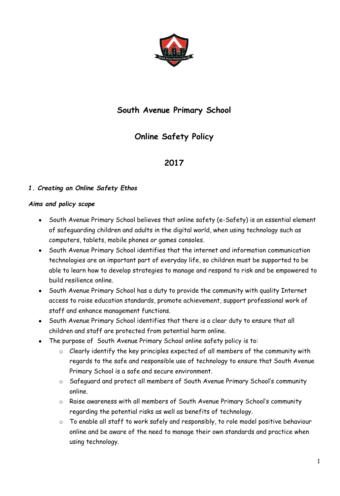

# **South Avenue Primary School**

# **Online Safety Policy**

# **2017**

## *1. Creating an Online Safety Ethos*

#### *Aims and policy scope*

- South Avenue Primary School believes that online safety (e-Safety) is an essential element of safeguarding children and adults in the digital world, when using technology such as computers, tablets, mobile phones or games consoles.
- South Avenue Primary School identifies that the internet and information communication technologies are an important part of everyday life, so children must be supported to be able to learn how to develop strategies to manage and respond to risk and be empowered to build resilience online.
- South Avenue Primary School has a duty to provide the community with quality Internet access to raise education standards, promote achievement, support professional work of staff and enhance management functions.
- South Avenue Primary School identifies that there is a clear duty to ensure that all children and staff are protected from potential harm online.
- The purpose of South Avenue Primary School online safety policy is to:
	- o Clearly identify the key principles expected of all members of the community with regards to the safe and responsible use of technology to ensure that South Avenue Primary School is a safe and secure environment.
	- o Safeguard and protect all members of South Avenue Primary School's community online.
	- o Raise awareness with all members of South Avenue Primary School's community regarding the potential risks as well as benefits of technology.
	- o To enable all staff to work safely and responsibly, to role model positive behaviour online and be aware of the need to manage their own standards and practice when using technology.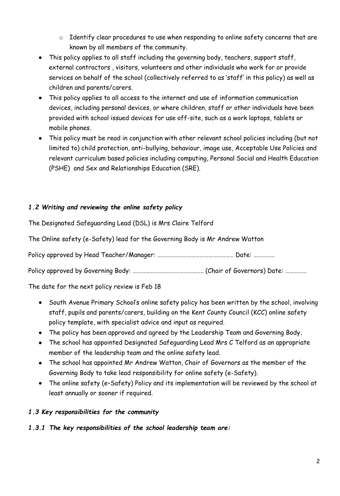- o Identify clear procedures to use when responding to online safety concerns that are known by all members of the community.
- This policy applies to all staff including the governing body, teachers, support staff, external contractors , visitors, volunteers and other individuals who work for or provide services on behalf of the school (collectively referred to as 'staff' in this policy) as well as children and parents/carers.
- This policy applies to all access to the internet and use of information communication devices, including personal devices, or where children, staff or other individuals have been provided with school issued devices for use off-site, such as a work laptops, tablets or mobile phones.
- This policy must be read in conjunction with other relevant school policies including (but not limited to) child protection, anti-bullying, behaviour, image use, Acceptable Use Policies and relevant curriculum based policies including computing, Personal Social and Health Education (PSHE) and Sex and Relationships Education (SRE).

## *1.2 Writing and reviewing the online safety policy*

The Designated Safeguarding Lead (DSL) is Mrs Claire Telford

The Online safety (e-Safety) lead for the Governing Body is Mr Andrew Watton

Policy approved by Head Teacher/Manager: ……………………………………………… Date: ……………

Policy approved by Governing Body: …………………………………………………… (Chair of Governors) Date: ……………

The date for the next policy review is Feb 18

- South Avenue Primary School's online safety policy has been written by the school, involving staff, pupils and parents/carers, building on the Kent County Council (KCC) online safety policy template, with specialist advice and input as required.
- The policy has been approved and agreed by the Leadership Team and Governing Body**.**
- The school has appointed Designated Safeguarding Lead Mrs C Telford as an appropriate member of the leadership team and the online safety lead.
- The school has appointed Mr Andrew Watton, Chair of Governors as the member of the Governing Body to take lead responsibility for online safety (e-Safety).
- The online safety (e–Safety) Policy and its implementation will be reviewed by the school at least annually or sooner if required.

#### *1.3 Key responsibilities for the community*

*1.3.1 The key responsibilities of the school leadership team are:*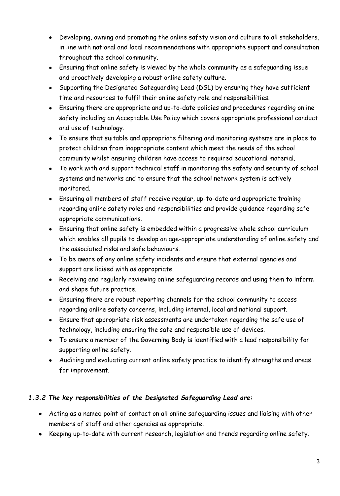- Developing, owning and promoting the online safety vision and culture to all stakeholders, in line with national and local recommendations with appropriate support and consultation throughout the school community.
- Ensuring that online safety is viewed by the whole community as a safeguarding issue and proactively developing a robust online safety culture.
- Supporting the Designated Safeguarding Lead (DSL) by ensuring they have sufficient time and resources to fulfil their online safety role and responsibilities.
- Ensuring there are appropriate and up-to-date policies and procedures regarding online safety including an Acceptable Use Policy which covers appropriate professional conduct and use of technology.
- To ensure that suitable and appropriate filtering and monitoring systems are in place to protect children from inappropriate content which meet the needs of the school community whilst ensuring children have access to required educational material.
- To work with and support technical staff in monitoring the safety and security of school systems and networks and to ensure that the school network system is actively monitored.
- Ensuring all members of staff receive regular, up-to-date and appropriate training regarding online safety roles and responsibilities and provide guidance regarding safe appropriate communications.
- Ensuring that online safety is embedded within a progressive whole school curriculum which enables all pupils to develop an age-appropriate understanding of online safety and the associated risks and safe behaviours.
- To be aware of any online safety incidents and ensure that external agencies and support are liaised with as appropriate.
- Receiving and regularly reviewing online safeguarding records and using them to inform and shape future practice.
- Ensuring there are robust reporting channels for the school community to access regarding online safety concerns, including internal, local and national support.
- Ensure that appropriate risk assessments are undertaken regarding the safe use of technology, including ensuring the safe and responsible use of devices.
- To ensure a member of the Governing Body is identified with a lead responsibility for supporting online safety.
- Auditing and evaluating current online safety practice to identify strengths and areas for improvement.

## *1.3.2 The key responsibilities of the Designated Safeguarding Lead are:*

- Acting as a named point of contact on all online safeguarding issues and liaising with other members of staff and other agencies as appropriate.
- Keeping up-to-date with current research, legislation and trends regarding online safety.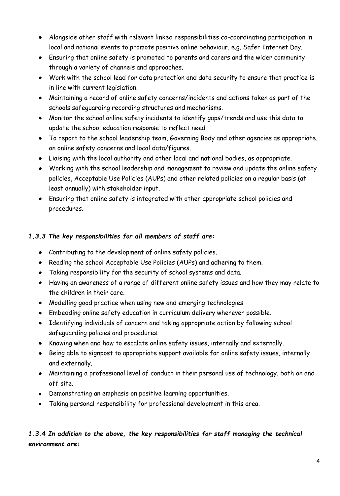- Alongside other staff with relevant linked responsibilities co-coordinating participation in local and national events to promote positive online behaviour, e.g. Safer Internet Day.
- Ensuring that online safety is promoted to parents and carers and the wider community through a variety of channels and approaches.
- Work with the school lead for data protection and data security to ensure that practice is in line with current legislation.
- Maintaining a record of online safety concerns/incidents and actions taken as part of the schools safeguarding recording structures and mechanisms.
- Monitor the school online safety incidents to identify gaps/trends and use this data to update the school education response to reflect need
- To report to the school leadership team, Governing Body and other agencies as appropriate, on online safety concerns and local data/figures.
- Liaising with the local authority and other local and national bodies, as appropriate.
- Working with the school leadership and management to review and update the online safety policies, Acceptable Use Policies (AUPs) and other related policies on a regular basis (at least annually) with stakeholder input.
- Ensuring that online safety is integrated with other appropriate school policies and procedures.

## *1.3.3 The key responsibilities for all members of staff are:*

- Contributing to the development of online safety policies.
- Reading the school Acceptable Use Policies (AUPs) and adhering to them.
- Taking responsibility for the security of school systems and data.
- Having an awareness of a range of different online safety issues and how they may relate to the children in their care.
- Modelling good practice when using new and emerging technologies
- Embedding online safety education in curriculum delivery wherever possible.
- Identifying individuals of concern and taking appropriate action by following school safeguarding policies and procedures.
- Knowing when and how to escalate online safety issues, internally and externally.
- Being able to signpost to appropriate support available for online safety issues, internally and externally.
- Maintaining a professional level of conduct in their personal use of technology, both on and off site.
- Demonstrating an emphasis on positive learning opportunities.
- Taking personal responsibility for professional development in this area.

# *1.3.4 In addition to the above, the key responsibilities for staff managing the technical environment are:*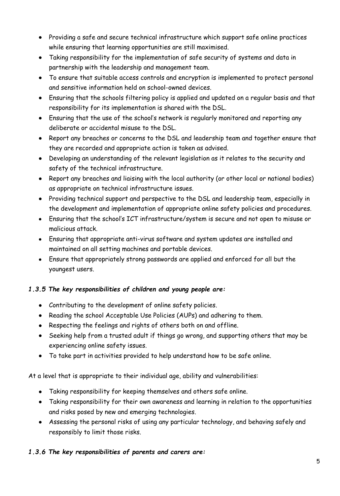- Providing a safe and secure technical infrastructure which support safe online practices while ensuring that learning opportunities are still maximised.
- Taking responsibility for the implementation of safe security of systems and data in partnership with the leadership and management team.
- To ensure that suitable access controls and encryption is implemented to protect personal and sensitive information held on school-owned devices.
- Ensuring that the schools filtering policy is applied and updated on a regular basis and that responsibility for its implementation is shared with the DSL.
- Ensuring that the use of the school's network is regularly monitored and reporting any deliberate or accidental misuse to the DSL.
- Report any breaches or concerns to the DSL and leadership team and together ensure that they are recorded and appropriate action is taken as advised.
- Developing an understanding of the relevant legislation as it relates to the security and safety of the technical infrastructure.
- Report any breaches and liaising with the local authority (or other local or national bodies) as appropriate on technical infrastructure issues.
- Providing technical support and perspective to the DSL and leadership team, especially in the development and implementation of appropriate online safety policies and procedures.
- Ensuring that the school's ICT infrastructure/system is secure and not open to misuse or malicious attack.
- Ensuring that appropriate anti-virus software and system updates are installed and maintained on all setting machines and portable devices.
- Ensure that appropriately strong passwords are applied and enforced for all but the youngest users.

## *1.3.5 The key responsibilities of children and young people are:*

- Contributing to the development of online safety policies.
- Reading the school Acceptable Use Policies (AUPs) and adhering to them.
- Respecting the feelings and rights of others both on and offline.
- Seeking help from a trusted adult if things go wrong, and supporting others that may be experiencing online safety issues.
- To take part in activities provided to help understand how to be safe online.

At a level that is appropriate to their individual age, ability and vulnerabilities:

- Taking responsibility for keeping themselves and others safe online.
- Taking responsibility for their own awareness and learning in relation to the opportunities and risks posed by new and emerging technologies.
- Assessing the personal risks of using any particular technology, and behaving safely and responsibly to limit those risks.

## *1.3.6 The key responsibilities of parents and carers are:*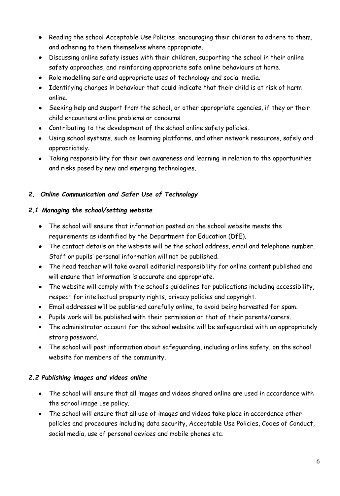- Reading the school Acceptable Use Policies, encouraging their children to adhere to them, and adhering to them themselves where appropriate.
- Discussing online safety issues with their children, supporting the school in their online safety approaches, and reinforcing appropriate safe online behaviours at home.
- Role modelling safe and appropriate uses of technology and social media.
- Identifying changes in behaviour that could indicate that their child is at risk of harm online.
- Seeking help and support from the school, or other appropriate agencies, if they or their child encounters online problems or concerns.
- Contributing to the development of the school online safety policies.
- Using school systems, such as learning platforms, and other network resources, safely and appropriately.
- Taking responsibility for their own awareness and learning in relation to the opportunities and risks posed by new and emerging technologies.

## *2. Online Communication and Safer Use of Technology*

#### *2.1 Managing the school/setting website*

- The school will ensure that information posted on the school website meets the requirements as identified by the Department for Education (DfE).
- The contact details on the website will be the school address, email and telephone number. Staff or pupils' personal information will not be published.
- The head teacher will take overall editorial responsibility for online content published and will ensure that information is accurate and appropriate.
- The website will comply with the school's quidelines for publications including accessibility, respect for intellectual property rights, privacy policies and copyright.
- Email addresses will be published carefully online, to avoid being harvested for spam.
- Pupils work will be published with their permission or that of their parents/carers.
- The administrator account for the school website will be safeguarded with an appropriately strong password.
- The school will post information about safeguarding, including online safety, on the school website for members of the community.

## *2.2 Publishing images and videos online*

- The school will ensure that all images and videos shared online are used in accordance with the school image use policy.
- The school will ensure that all use of images and videos take place in accordance other policies and procedures including data security, Acceptable Use Policies, Codes of Conduct, social media, use of personal devices and mobile phones etc.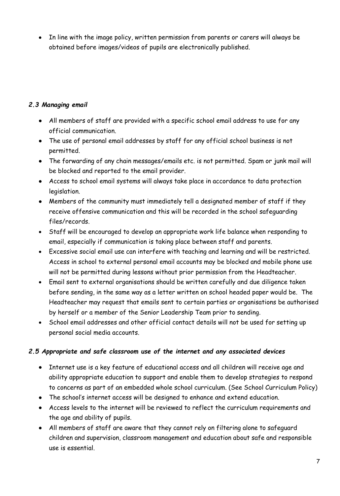• In line with the image policy, written permission from parents or carers will always be obtained before images/videos of pupils are electronically published.

## *2.3 Managing email*

- All members of staff are provided with a specific school email address to use for any official communication.
- The use of personal email addresses by staff for any official school business is not permitted.
- The forwarding of any chain messages/emails etc. is not permitted. Spam or junk mail will be blocked and reported to the email provider.
- Access to school email systems will always take place in accordance to data protection legislation.
- Members of the community must immediately tell a designated member of staff if they receive offensive communication and this will be recorded in the school safeguarding files/records.
- Staff will be encouraged to develop an appropriate work life balance when responding to email, especially if communication is taking place between staff and parents.
- Excessive social email use can interfere with teaching and learning and will be restricted. Access in school to external personal email accounts may be blocked and mobile phone use will not be permitted during lessons without prior permission from the Headteacher.
- Email sent to external organisations should be written carefully and due diligence taken before sending, in the same way as a letter written on school headed paper would be. The Headteacher may request that emails sent to certain parties or organisations be authorised by herself or a member of the Senior Leadership Team prior to sending.
- School email addresses and other official contact details will not be used for setting up personal social media accounts.

#### *2.5 Appropriate and safe classroom use of the internet and any associated devices*

- Internet use is a key feature of educational access and all children will receive age and ability appropriate education to support and enable them to develop strategies to respond to concerns as part of an embedded whole school curriculum. (See School Curriculum Policy)
- The school's internet access will be designed to enhance and extend education.
- Access levels to the internet will be reviewed to reflect the curriculum requirements and the age and ability of pupils.
- All members of staff are aware that they cannot rely on filtering alone to safeguard children and supervision, classroom management and education about safe and responsible use is essential.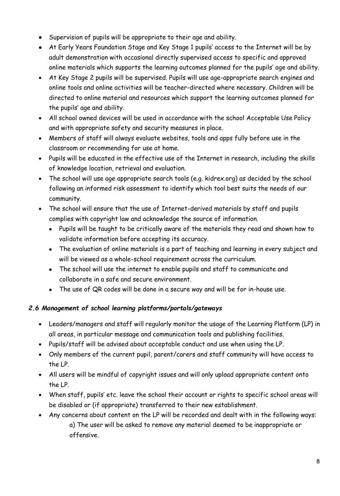- Supervision of pupils will be appropriate to their age and ability.
- At Early Years Foundation Stage and Key Stage 1 pupils' access to the Internet will be by adult demonstration with occasional directly supervised access to specific and approved online materials which supports the learning outcomes planned for the pupils' age and ability.
- At Key Stage 2 pupils will be supervised. Pupils will use age-appropriate search engines and online tools and online activities will be teacher-directed where necessary. Children will be directed to online material and resources which support the learning outcomes planned for the pupils' age and ability.
- All school owned devices will be used in accordance with the school Acceptable Use Policy and with appropriate safety and security measures in place.
- Members of staff will always evaluate websites, tools and apps fully before use in the classroom or recommending for use at home.
- Pupils will be educated in the effective use of the Internet in research, including the skills of knowledge location, retrieval and evaluation.
- The school will use age appropriate search tools (e.g. kidrex.org) as decided by the school following an informed risk assessment to identify which tool best suits the needs of our community.
- The school will ensure that the use of Internet-derived materials by staff and pupils complies with copyright law and acknowledge the source of information.
	- Pupils will be taught to be critically aware of the materials they read and shown how to validate information before accepting its accuracy.
	- The evaluation of online materials is a part of teaching and learning in every subject and will be viewed as a whole-school requirement across the curriculum.
	- The school will use the internet to enable pupils and staff to communicate and collaborate in a safe and secure environment.
	- The use of QR codes will be done in a secure way and will be for in-house use.

## *2.6 Management of school learning platforms/portals/gateways*

- Leaders/managers and staff will regularly monitor the usage of the Learning Platform (LP) in all areas, in particular message and communication tools and publishing facilities.
- Pupils/staff will be advised about acceptable conduct and use when using the LP.
- Only members of the current pupil, parent/carers and staff community will have access to the LP.
- All users will be mindful of copyright issues and will only upload appropriate content onto the LP.
- When staff, pupils' etc. leave the school their account or rights to specific school areas will be disabled or (if appropriate) transferred to their new establishment.
- Any concerns about content on the LP will be recorded and dealt with in the following ways: a) The user will be asked to remove any material deemed to be inappropriate or offensive.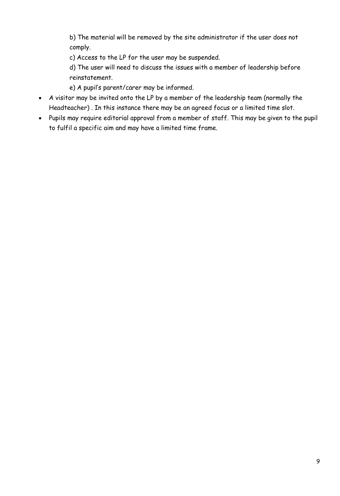b) The material will be removed by the site administrator if the user does not comply.

c) Access to the LP for the user may be suspended.

d) The user will need to discuss the issues with a member of leadership before reinstatement.

e) A pupil's parent/carer may be informed.

- A visitor may be invited onto the LP by a member of the leadership team (normally the Headteacher) . In this instance there may be an agreed focus or a limited time slot.
- Pupils may require editorial approval from a member of staff. This may be given to the pupil to fulfil a specific aim and may have a limited time frame.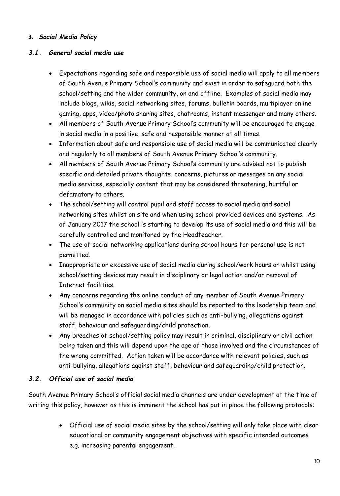#### **3.** *Social Media Policy*

#### *3.1. General social media use*

- Expectations regarding safe and responsible use of social media will apply to all members of South Avenue Primary School's community and exist in order to safeguard both the school/setting and the wider community, on and offline. Examples of social media may include blogs, wikis, social networking sites, forums, bulletin boards, multiplayer online gaming, apps, video/photo sharing sites, chatrooms, instant messenger and many others.
- All members of South Avenue Primary School's community will be encouraged to engage in social media in a positive, safe and responsible manner at all times.
- Information about safe and responsible use of social media will be communicated clearly and regularly to all members of South Avenue Primary School's community.
- All members of South Avenue Primary School's community are advised not to publish specific and detailed private thoughts, concerns, pictures or messages on any social media services, especially content that may be considered threatening, hurtful or defamatory to others.
- The school/setting will control pupil and staff access to social media and social networking sites whilst on site and when using school provided devices and systems. As of January 2017 the school is starting to develop its use of social media and this will be carefully controlled and monitored by the Headteacher.
- The use of social networking applications during school hours for personal use is not permitted.
- Inappropriate or excessive use of social media during school/work hours or whilst using school/setting devices may result in disciplinary or legal action and/or removal of Internet facilities.
- Any concerns regarding the online conduct of any member of South Avenue Primary School's community on social media sites should be reported to the leadership team and will be managed in accordance with policies such as anti-bullying, allegations against staff, behaviour and safeguarding/child protection.
- Any breaches of school/setting policy may result in criminal, disciplinary or civil action being taken and this will depend upon the age of those involved and the circumstances of the wrong committed. Action taken will be accordance with relevant policies, such as anti-bullying, allegations against staff, behaviour and safeguarding/child protection.

#### *3.2. Official use of social media*

South Avenue Primary School's official social media channels are under development at the time of writing this policy, however as this is imminent the school has put in place the following protocols:

> Official use of social media sites by the school/setting will only take place with clear educational or community engagement objectives with specific intended outcomes e.g. increasing parental engagement.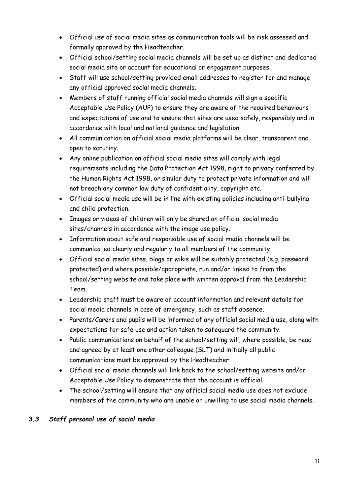- Official use of social media sites as communication tools will be risk assessed and formally approved by the Headteacher.
- Official school/setting social media channels will be set up as distinct and dedicated social media site or account for educational or engagement purposes.
- Staff will use school/setting provided email addresses to register for and manage any official approved social media channels.
- Members of staff running official social media channels will sign a specific Acceptable Use Policy (AUP) to ensure they are aware of the required behaviours and expectations of use and to ensure that sites are used safely, responsibly and in accordance with local and national guidance and legislation.
- All communication on official social media platforms will be clear, transparent and open to scrutiny.
- Any online publication on official social media sites will comply with legal requirements including the Data Protection Act 1998, right to privacy conferred by the Human Rights Act 1998, or similar duty to protect private information and will not breach any common law duty of confidentiality, copyright etc.
- Official social media use will be in line with existing policies including anti-bullying and child protection.
- Images or videos of children will only be shared on official social media sites/channels in accordance with the image use policy.
- Information about safe and responsible use of social media channels will be communicated clearly and regularly to all members of the community.
- Official social media sites, blogs or wikis will be suitably protected (e.g. password protected) and where possible/appropriate, run and/or linked to from the school/setting website and take place with written approval from the Leadership Team.
- Leadership staff must be aware of account information and relevant details for social media channels in case of emergency, such as staff absence.
- Parents/Carers and pupils will be informed of any official social media use, along with expectations for safe use and action taken to safeguard the community.
- Public communications on behalf of the school/setting will, where possible, be read and agreed by at least one other colleague (SLT) and initially all public communications must be approved by the Headteacher.
- Official social media channels will link back to the school/setting website and/or Acceptable Use Policy to demonstrate that the account is official.
- The school/setting will ensure that any official social media use does not exclude members of the community who are unable or unwilling to use social media channels.

## *3.3 Staff personal use of social media*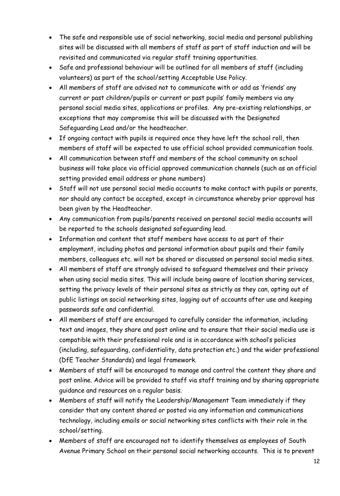- The safe and responsible use of social networking, social media and personal publishing sites will be discussed with all members of staff as part of staff induction and will be revisited and communicated via regular staff training opportunities.
- Safe and professional behaviour will be outlined for all members of staff (including volunteers) as part of the school/setting Acceptable Use Policy.
- All members of staff are advised not to communicate with or add as 'friends' any current or past children/pupils or current or past pupils' family members via any personal social media sites, applications or profiles. Any pre-existing relationships, or exceptions that may compromise this will be discussed with the Designated Safeguarding Lead and/or the headteacher.
- If ongoing contact with pupils is required once they have left the school roll, then members of staff will be expected to use official school provided communication tools.
- All communication between staff and members of the school community on school business will take place via official approved communication channels (such as an official setting provided email address or phone numbers)
- Staff will not use personal social media accounts to make contact with pupils or parents, nor should any contact be accepted, except in circumstance whereby prior approval has been given by the Headteacher.
- Any communication from pupils/parents received on personal social media accounts will be reported to the schools designated safeguarding lead.
- Information and content that staff members have access to as part of their employment, including photos and personal information about pupils and their family members, colleagues etc. will not be shared or discussed on personal social media sites.
- All members of staff are strongly advised to safeguard themselves and their privacy when using social media sites. This will include being aware of location sharing services, setting the privacy levels of their personal sites as strictly as they can, opting out of public listings on social networking sites, logging out of accounts after use and keeping passwords safe and confidential.
- All members of staff are encouraged to carefully consider the information, including text and images, they share and post online and to ensure that their social media use is compatible with their professional role and is in accordance with school's policies (including, safeguarding, confidentiality, data protection etc.) and the wider professional (DfE Teacher Standards) and legal framework.
- Members of staff will be encouraged to manage and control the content they share and post online. Advice will be provided to staff via staff training and by sharing appropriate guidance and resources on a regular basis.
- Members of staff will notify the Leadership/Management Team immediately if they consider that any content shared or posted via any information and communications technology, including emails or social networking sites conflicts with their role in the school/setting.
- Members of staff are encouraged not to identify themselves as employees of South Avenue Primary School on their personal social networking accounts. This is to prevent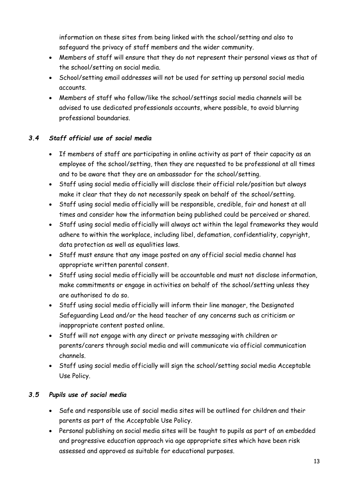information on these sites from being linked with the school/setting and also to safeguard the privacy of staff members and the wider community.

- Members of staff will ensure that they do not represent their personal views as that of the school/setting on social media.
- School/setting email addresses will not be used for setting up personal social media accounts.
- Members of staff who follow/like the school/settings social media channels will be advised to use dedicated professionals accounts, where possible, to avoid blurring professional boundaries.

## *3.4 Staff official use of social media*

- If members of staff are participating in online activity as part of their capacity as an employee of the school/setting, then they are requested to be professional at all times and to be aware that they are an ambassador for the school/setting.
- Staff using social media officially will disclose their official role/position but always make it clear that they do not necessarily speak on behalf of the school/setting.
- Staff using social media officially will be responsible, credible, fair and honest at all times and consider how the information being published could be perceived or shared.
- Staff using social media officially will always act within the legal frameworks they would adhere to within the workplace, including libel, defamation, confidentiality, copyright, data protection as well as equalities laws.
- Staff must ensure that any image posted on any official social media channel has appropriate written parental consent.
- Staff using social media officially will be accountable and must not disclose information, make commitments or engage in activities on behalf of the school/setting unless they are authorised to do so.
- Staff using social media officially will inform their line manager, the Designated Safeguarding Lead and/or the head teacher of any concerns such as criticism or inappropriate content posted online.
- Staff will not engage with any direct or private messaging with children or parents/carers through social media and will communicate via official communication channels.
- Staff using social media officially will sign the school/setting social media Acceptable Use Policy.

## *3.5 Pupils use of social media*

- Safe and responsible use of social media sites will be outlined for children and their parents as part of the Acceptable Use Policy.
- Personal publishing on social media sites will be taught to pupils as part of an embedded and progressive education approach via age appropriate sites which have been risk assessed and approved as suitable for educational purposes.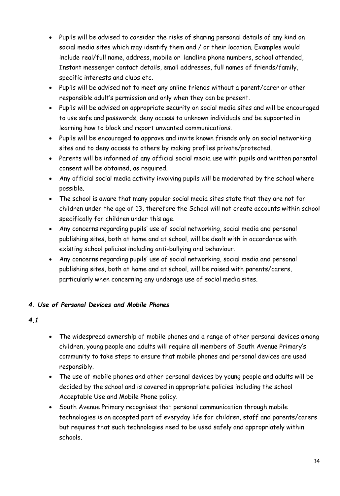- Pupils will be advised to consider the risks of sharing personal details of any kind on social media sites which may identify them and / or their location. Examples would include real/full name, address, mobile or landline phone numbers, school attended, Instant messenger contact details, email addresses, full names of friends/family, specific interests and clubs etc.
- Pupils will be advised not to meet any online friends without a parent/carer or other responsible adult's permission and only when they can be present.
- Pupils will be advised on appropriate security on social media sites and will be encouraged to use safe and passwords, deny access to unknown individuals and be supported in learning how to block and report unwanted communications.
- Pupils will be encouraged to approve and invite known friends only on social networking sites and to deny access to others by making profiles private/protected.
- Parents will be informed of any official social media use with pupils and written parental consent will be obtained, as required.
- Any official social media activity involving pupils will be moderated by the school where possible.
- The school is aware that many popular social media sites state that they are not for children under the age of 13, therefore the School will not create accounts within school specifically for children under this age.
- Any concerns regarding pupils' use of social networking, social media and personal publishing sites, both at home and at school, will be dealt with in accordance with existing school policies including anti-bullying and behaviour.
- Any concerns regarding pupils' use of social networking, social media and personal publishing sites, both at home and at school, will be raised with parents/carers, particularly when concerning any underage use of social media sites.

## *4. Use of Personal Devices and Mobile Phones*

- *4.1*
- The widespread ownership of mobile phones and a range of other personal devices among children, young people and adults will require all members of South Avenue Primary's community to take steps to ensure that mobile phones and personal devices are used responsibly.
- The use of mobile phones and other personal devices by young people and adults will be decided by the school and is covered in appropriate policies including the school Acceptable Use and Mobile Phone policy.
- South Avenue Primary recognises that personal communication through mobile technologies is an accepted part of everyday life for children, staff and parents/carers but requires that such technologies need to be used safely and appropriately within schools.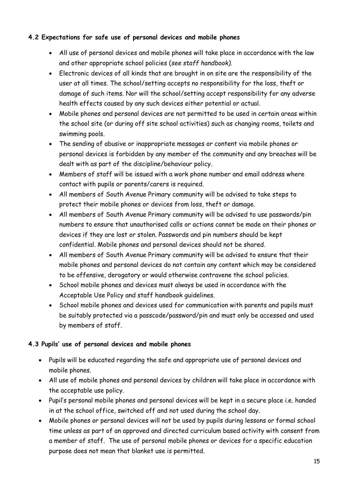## **4.2 Expectations for safe use of personal devices and mobile phones**

- All use of personal devices and mobile phones will take place in accordance with the law and other appropriate school policies (*see staff handbook).*
- Electronic devices of all kinds that are brought in on site are the responsibility of the user at all times. The school/setting accepts no responsibility for the loss, theft or damage of such items. Nor will the school/setting accept responsibility for any adverse health effects caused by any such devices either potential or actual.
- Mobile phones and personal devices are not permitted to be used in certain areas within the school site (or during off site school activities) such as changing rooms, toilets and swimming pools.
- The sending of abusive or inappropriate messages or content via mobile phones or personal devices is forbidden by any member of the community and any breaches will be dealt with as part of the discipline/behaviour policy.
- Members of staff will be issued with a work phone number and email address where contact with pupils or parents/carers is required.
- All members of South Avenue Primary community will be advised to take steps to protect their mobile phones or devices from loss, theft or damage.
- All members of South Avenue Primary community will be advised to use passwords/pin numbers to ensure that unauthorised calls or actions cannot be made on their phones or devices if they are lost or stolen. Passwords and pin numbers should be kept confidential. Mobile phones and personal devices should not be shared.
- All members of South Avenue Primary community will be advised to ensure that their mobile phones and personal devices do not contain any content which may be considered to be offensive, derogatory or would otherwise contravene the school policies.
- School mobile phones and devices must always be used in accordance with the Acceptable Use Policy and staff handbook guidelines.
- School mobile phones and devices used for communication with parents and pupils must be suitably protected via a passcode/password/pin and must only be accessed and used by members of staff.

## **4.3 Pupils' use of personal devices and mobile phones**

- Pupils will be educated regarding the safe and appropriate use of personal devices and mobile phones.
- All use of mobile phones and personal devices by children will take place in accordance with the acceptable use policy.
- Pupil's personal mobile phones and personal devices will be kept in a secure place i.e. handed in at the school office, switched off and not used during the school day.
- Mobile phones or personal devices will not be used by pupils during lessons or formal school time unless as part of an approved and directed curriculum based activity with consent from a member of staff. The use of personal mobile phones or devices for a specific education purpose does not mean that blanket use is permitted.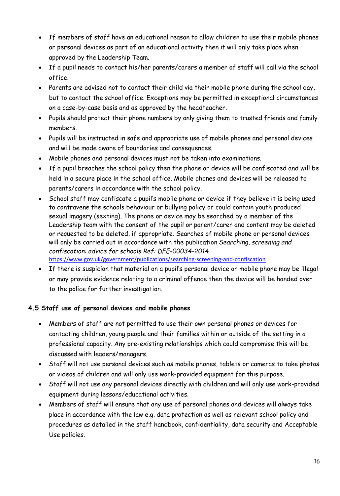- If members of staff have an educational reason to allow children to use their mobile phones or personal devices as part of an educational activity then it will only take place when approved by the Leadership Team.
- If a pupil needs to contact his/her parents/carers a member of staff will call via the school office.
- Parents are advised not to contact their child via their mobile phone during the school day, but to contact the school office. Exceptions may be permitted in exceptional circumstances on a case-by-case basis and as approved by the headteacher.
- Pupils should protect their phone numbers by only giving them to trusted friends and family members.
- Pupils will be instructed in safe and appropriate use of mobile phones and personal devices and will be made aware of boundaries and consequences.
- Mobile phones and personal devices must not be taken into examinations.
- If a pupil breaches the school policy then the phone or device will be confiscated and will be held in a secure place in the school office. Mobile phones and devices will be released to parents/carers in accordance with the school policy.
- School staff may confiscate a pupil's mobile phone or device if they believe it is being used to contravene the schools behaviour or bullying policy or could contain youth produced sexual imagery (sexting). The phone or device may be searched by a member of the Leadership team with the consent of the pupil or parent/carer and content may be deleted or requested to be deleted, if appropriate. Searches of mobile phone or personal devices will only be carried out in accordance with the publication *Searching, screening and confiscation: advice for schools Ref: DFE-00034-2014* <https://www.gov.uk/government/publications/searching-screening-and-confiscation>
- If there is suspicion that material on a pupil's personal device or mobile phone may be illegal or may provide evidence relating to a criminal offence then the device will be handed over to the police for further investigation.

#### **4.5 Staff use of personal devices and mobile phones**

- Members of staff are not permitted to use their own personal phones or devices for contacting children, young people and their families within or outside of the setting in a professional capacity. Any pre-existing relationships which could compromise this will be discussed with leaders/managers.
- Staff will not use personal devices such as mobile phones, tablets or cameras to take photos or videos of children and will only use work-provided equipment for this purpose.
- Staff will not use any personal devices directly with children and will only use work-provided equipment during lessons/educational activities.
- Members of staff will ensure that any use of personal phones and devices will always take place in accordance with the law e.g. data protection as well as relevant school policy and procedures as detailed in the staff handbook, confidentiality, data security and Acceptable Use policies.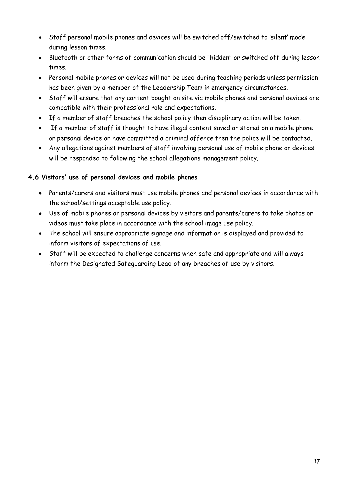- Staff personal mobile phones and devices will be switched off/switched to 'silent' mode during lesson times.
- Bluetooth or other forms of communication should be "hidden" or switched off during lesson times.
- Personal mobile phones or devices will not be used during teaching periods unless permission has been given by a member of the Leadership Team in emergency circumstances.
- Staff will ensure that any content bought on site via mobile phones and personal devices are compatible with their professional role and expectations.
- If a member of staff breaches the school policy then disciplinary action will be taken.
- If a member of staff is thought to have illegal content saved or stored on a mobile phone or personal device or have committed a criminal offence then the police will be contacted.
- Any allegations against members of staff involving personal use of mobile phone or devices will be responded to following the school allegations management policy.

## **4.6 Visitors' use of personal devices and mobile phones**

- Parents/carers and visitors must use mobile phones and personal devices in accordance with the school/settings acceptable use policy.
- Use of mobile phones or personal devices by visitors and parents/carers to take photos or videos must take place in accordance with the school image use policy.
- The school will ensure appropriate signage and information is displayed and provided to inform visitors of expectations of use.
- Staff will be expected to challenge concerns when safe and appropriate and will always inform the Designated Safeguarding Lead of any breaches of use by visitors.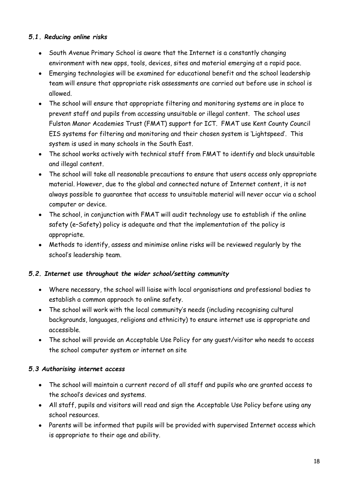#### *5.1. Reducing online risks*

- South Avenue Primary School is aware that the Internet is a constantly changing environment with new apps, tools, devices, sites and material emerging at a rapid pace.
- Emerging technologies will be examined for educational benefit and the school leadership team will ensure that appropriate risk assessments are carried out before use in school is allowed.
- The school will ensure that appropriate filtering and monitoring systems are in place to prevent staff and pupils from accessing unsuitable or illegal content. The school uses Fulston Manor Academies Trust (FMAT) support for ICT. FMAT use Kent County Council EIS systems for filtering and monitoring and their chosen system is 'Lightspeed'. This system is used in many schools in the South East.
- The school works actively with technical staff from FMAT to identify and block unsuitable and illegal content.
- The school will take all reasonable precautions to ensure that users access only appropriate material. However, due to the global and connected nature of Internet content, it is not always possible to guarantee that access to unsuitable material will never occur via a school computer or device.
- The school, in conjunction with FMAT will audit technology use to establish if the online safety (e–Safety) policy is adequate and that the implementation of the policy is appropriate.
- Methods to identify, assess and minimise online risks will be reviewed regularly by the school's leadership team.

#### *5.2. Internet use throughout the wider school/setting community*

- Where necessary, the school will liaise with local organisations and professional bodies to establish a common approach to online safety.
- The school will work with the local community's needs (including recognising cultural backgrounds, languages, religions and ethnicity) to ensure internet use is appropriate and accessible.
- The school will provide an Acceptable Use Policy for any guest/visitor who needs to access the school computer system or internet on site

#### *5.3 Authorising internet access*

- The school will maintain a current record of all staff and pupils who are granted access to the school's devices and systems.
- All staff, pupils and visitors will read and sign the Acceptable Use Policy before using any school resources.
- Parents will be informed that pupils will be provided with supervised Internet access which is appropriate to their age and ability.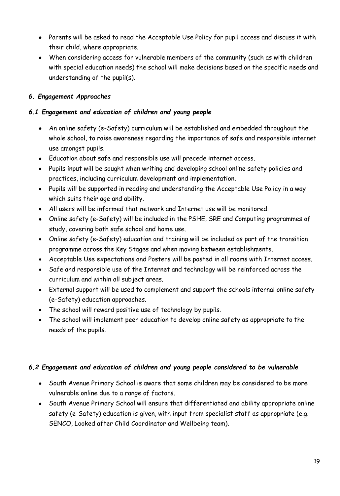- Parents will be asked to read the Acceptable Use Policy for pupil access and discuss it with their child, where appropriate.
- When considering access for vulnerable members of the community (such as with children with special education needs) the school will make decisions based on the specific needs and understanding of the pupil(s).

#### *6. Engagement Approaches*

#### *6.1 Engagement and education of children and young people*

- An online safety (e-Safety) curriculum will be established and embedded throughout the whole school, to raise awareness regarding the importance of safe and responsible internet use amongst pupils.
- Education about safe and responsible use will precede internet access.
- Pupils input will be sought when writing and developing school online safety policies and practices, including curriculum development and implementation.
- Pupils will be supported in reading and understanding the Acceptable Use Policy in a way which suits their age and ability.
- All users will be informed that network and Internet use will be monitored.
- Online safety (e-Safety) will be included in the PSHE, SRE and Computing programmes of study, covering both safe school and home use.
- Online safety (e-Safety) education and training will be included as part of the transition programme across the Key Stages and when moving between establishments.
- Acceptable Use expectations and Posters will be posted in all rooms with Internet access.
- Safe and responsible use of the Internet and technology will be reinforced across the curriculum and within all subject areas.
- External support will be used to complement and support the schools internal online safety (e-Safety) education approaches.
- The school will reward positive use of technology by pupils.
- The school will implement peer education to develop online safety as appropriate to the needs of the pupils.

#### *6.2 Engagement and education of children and young people considered to be vulnerable*

- South Avenue Primary School is aware that some children may be considered to be more vulnerable online due to a range of factors.
- South Avenue Primary School will ensure that differentiated and ability appropriate online safety (e-Safety) education is given, with input from specialist staff as appropriate (e.g. SENCO, Looked after Child Coordinator and Wellbeing team).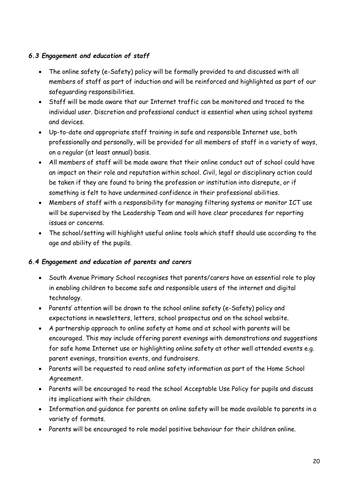## *6.3 Engagement and education of staff*

- The online safety (e-Safety) policy will be formally provided to and discussed with all members of staff as part of induction and will be reinforced and highlighted as part of our safeguarding responsibilities.
- Staff will be made aware that our Internet traffic can be monitored and traced to the individual user. Discretion and professional conduct is essential when using school systems and devices.
- Up-to-date and appropriate staff training in safe and responsible Internet use, both professionally and personally, will be provided for all members of staff in a variety of ways, on a regular (at least annual) basis.
- All members of staff will be made aware that their online conduct out of school could have an impact on their role and reputation within school. Civil, legal or disciplinary action could be taken if they are found to bring the profession or institution into disrepute, or if something is felt to have undermined confidence in their professional abilities.
- Members of staff with a responsibility for managing filtering systems or monitor ICT use will be supervised by the Leadership Team and will have clear procedures for reporting issues or concerns.
- The school/setting will highlight useful online tools which staff should use according to the age and ability of the pupils.

#### *6.4 Engagement and education of parents and carers*

- South Avenue Primary School recognises that parents/carers have an essential role to play in enabling children to become safe and responsible users of the internet and digital technology.
- Parents' attention will be drawn to the school online safety (e-Safety) policy and expectations in newsletters, letters, school prospectus and on the school website.
- A partnership approach to online safety at home and at school with parents will be encouraged. This may include offering parent evenings with demonstrations and suggestions for safe home Internet use or highlighting online safety at other well attended events e.g. parent evenings, transition events, and fundraisers.
- Parents will be requested to read online safety information as part of the Home School Agreement.
- Parents will be encouraged to read the school Acceptable Use Policy for pupils and discuss its implications with their children.
- Information and guidance for parents on online safety will be made available to parents in a variety of formats.
- Parents will be encouraged to role model positive behaviour for their children online.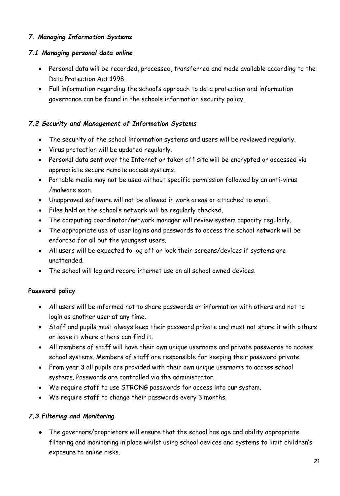#### *7. Managing Information Systems*

# *7.1 Managing personal data online*

- Personal data will be recorded, processed, transferred and made available according to the Data Protection Act 1998.
- Full information regarding the school's approach to data protection and information governance can be found in the schools information security policy.

# *7.2 Security and Management of Information Systems*

- The security of the school information systems and users will be reviewed regularly.
- Virus protection will be updated regularly.
- Personal data sent over the Internet or taken off site will be encrypted or accessed via appropriate secure remote access systems.
- Portable media may not be used without specific permission followed by an anti-virus /malware scan.
- Unapproved software will not be allowed in work areas or attached to email.
- Files held on the school's network will be regularly checked.
- The computing coordinator/network manager will review system capacity regularly.
- The appropriate use of user logins and passwords to access the school network will be enforced for all but the youngest users.
- All users will be expected to log off or lock their screens/devices if systems are unattended.
- The school will log and record internet use on all school owned devices.

# **Password policy**

- All users will be informed not to share passwords or information with others and not to login as another user at any time.
- Staff and pupils must always keep their password private and must not share it with others or leave it where others can find it.
- All members of staff will have their own unique username and private passwords to access school systems. Members of staff are responsible for keeping their password private.
- From year 3 all pupils are provided with their own unique username to access school systems. Passwords are controlled via the administrator.
- We require staff to use STRONG passwords for access into our system.
- We require staff to change their passwords every 3 months.

# *7.3 Filtering and Monitoring*

 The governors/proprietors will ensure that the school has age and ability appropriate filtering and monitoring in place whilst using school devices and systems to limit children's exposure to online risks.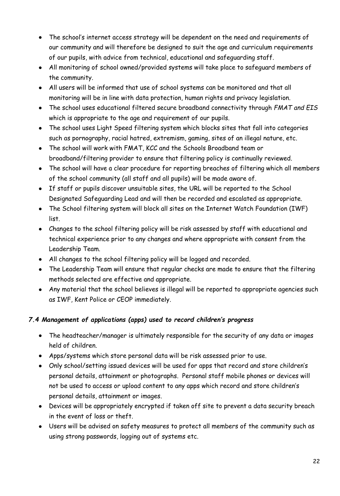- The school's internet access strategy will be dependent on the need and requirements of our community and will therefore be designed to suit the age and curriculum requirements of our pupils, with advice from technical, educational and safeguarding staff.
- All monitoring of school owned/provided systems will take place to safeguard members of the community.
- All users will be informed that use of school systems can be monitored and that all monitoring will be in line with data protection, human rights and privacy legislation.
- The school uses educational filtered secure broadband connectivity through *FMAT and EIS* which is appropriate to the age and requirement of our pupils.
- The school uses Light Speed filtering system which blocks sites that fall into categories such as pornography, racial hatred, extremism, gaming, sites of an illegal nature, etc.
- The school will work with FMAT, KCC and the Schools Broadband team or broadband/filtering provider to ensure that filtering policy is continually reviewed.
- The school will have a clear procedure for reporting breaches of filtering which all members of the school community (all staff and all pupils) will be made aware of.
- If staff or pupils discover unsuitable sites, the URL will be reported to the School Designated Safeguarding Lead and will then be recorded and escalated as appropriate.
- The School filtering system will block all sites on the Internet Watch Foundation (IWF) list.
- Changes to the school filtering policy will be risk assessed by staff with educational and technical experience prior to any changes and where appropriate with consent from the Leadership Team.
- All changes to the school filtering policy will be logged and recorded.
- The Leadership Team will ensure that regular checks are made to ensure that the filtering methods selected are effective and appropriate.
- Any material that the school believes is illegal will be reported to appropriate agencies such as IWF, Kent Police or CEOP immediately.

## *7.4 Management of applications (apps) used to record children's progress*

- The headteacher/manager is ultimately responsible for the security of any data or images held of children.
- Apps/systems which store personal data will be risk assessed prior to use.
- Only school/setting issued devices will be used for apps that record and store children's personal details, attainment or photographs. Personal staff mobile phones or devices will not be used to access or upload content to any apps which record and store children's personal details, attainment or images.
- Devices will be appropriately encrypted if taken off site to prevent a data security breach in the event of loss or theft.
- Users will be advised on safety measures to protect all members of the community such as using strong passwords, logging out of systems etc.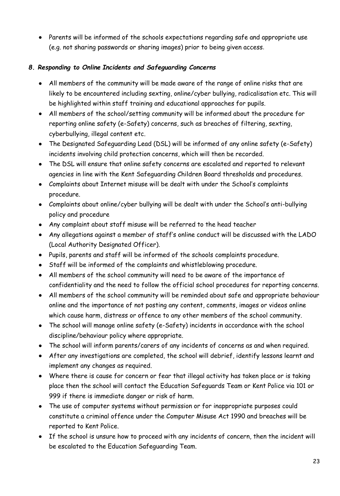Parents will be informed of the schools expectations regarding safe and appropriate use (e.g. not sharing passwords or sharing images) prior to being given access.

## *8. Responding to Online Incidents and Safeguarding Concerns*

- All members of the community will be made aware of the range of online risks that are likely to be encountered including sexting, online/cyber bullying, radicalisation etc. This will be highlighted within staff training and educational approaches for pupils.
- All members of the school/setting community will be informed about the procedure for reporting online safety (e-Safety) concerns, such as breaches of filtering, sexting, cyberbullying, illegal content etc.
- The Designated Safeguarding Lead (DSL) will be informed of any online safety (e-Safety) incidents involving child protection concerns, which will then be recorded.
- The DSL will ensure that online safety concerns are escalated and reported to relevant agencies in line with the Kent Safeguarding Children Board thresholds and procedures.
- Complaints about Internet misuse will be dealt with under the School's complaints procedure.
- Complaints about online/cyber bullying will be dealt with under the School's anti-bullying policy and procedure
- Any complaint about staff misuse will be referred to the head teacher
- Any allegations against a member of staff's online conduct will be discussed with the LADO (Local Authority Designated Officer).
- Pupils, parents and staff will be informed of the schools complaints procedure.
- Staff will be informed of the complaints and whistleblowing procedure.
- All members of the school community will need to be aware of the importance of confidentiality and the need to follow the official school procedures for reporting concerns.
- All members of the school community will be reminded about safe and appropriate behaviour online and the importance of not posting any content, comments, images or videos online which cause harm, distress or offence to any other members of the school community.
- The school will manage online safety (e-Safety) incidents in accordance with the school discipline/behaviour policy where appropriate.
- The school will inform parents/carers of any incidents of concerns as and when required.
- After any investigations are completed, the school will debrief, identify lessons learnt and implement any changes as required.
- Where there is cause for concern or fear that illegal activity has taken place or is taking place then the school will contact the Education Safeguards Team or Kent Police via 101 or 999 if there is immediate danger or risk of harm.
- The use of computer systems without permission or for inappropriate purposes could constitute a criminal offence under the Computer Misuse Act 1990 and breaches will be reported to Kent Police.
- If the school is unsure how to proceed with any incidents of concern, then the incident will be escalated to the Education Safeguarding Team.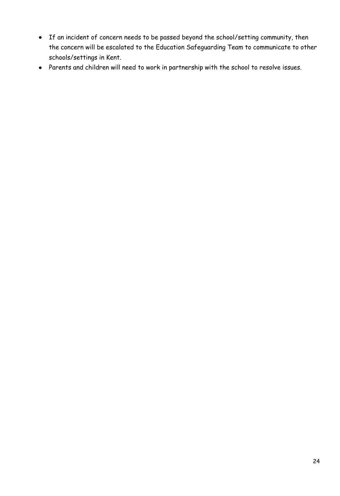- If an incident of concern needs to be passed beyond the school/setting community, then the concern will be escalated to the Education Safeguarding Team to communicate to other schools/settings in Kent.
- Parents and children will need to work in partnership with the school to resolve issues.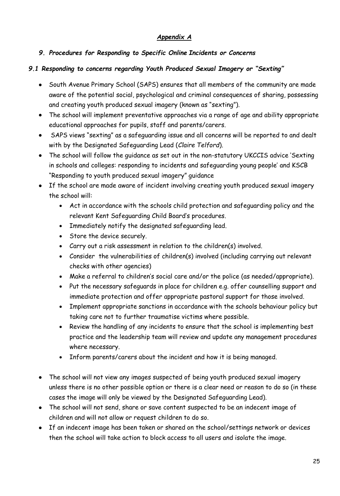#### *Appendix A*

## *9. Procedures for Responding to Specific Online Incidents or Concerns*

## *9.1 Responding to concerns regarding Youth Produced Sexual Imagery or "Sexting"*

- South Avenue Primary School (SAPS) ensures that all members of the community are made aware of the potential social, psychological and criminal consequences of sharing, possessing and creating youth produced sexual imagery (known as "sexting").
- The school will implement preventative approaches via a range of age and ability appropriate educational approaches for pupils, staff and parents/carers.
- SAPS views "sexting" as a safeguarding issue and all concerns will be reported to and dealt with by the Designated Safeguarding Lead (*Claire Telford*).
- The school will follow the guidance as set out in the non-statutory UKCCIS advice 'Sexting in schools and colleges: responding to incidents and safeguarding young people' and KSCB "Responding to youth produced sexual imagery" guidance
- If the school are made aware of incident involving creating youth produced sexual imagery the school will:
	- Act in accordance with the schools child protection and safeguarding policy and the relevant Kent Safeguarding Child Board's procedures.
	- Immediately notify the designated safeguarding lead.
	- Store the device securely.
	- Carry out a risk assessment in relation to the children(s) involved.
	- Consider the vulnerabilities of children(s) involved (including carrying out relevant checks with other agencies)
	- Make a referral to children's social care and/or the police (as needed/appropriate).
	- Put the necessary safeguards in place for children e.g. offer counselling support and immediate protection and offer appropriate pastoral support for those involved.
	- Implement appropriate sanctions in accordance with the schools behaviour policy but taking care not to further traumatise victims where possible.
	- Review the handling of any incidents to ensure that the school is implementing best practice and the leadership team will review and update any management procedures where necessary.
	- Inform parents/carers about the incident and how it is being managed.
- The school will not view any images suspected of being youth produced sexual imagery unless there is no other possible option or there is a clear need or reason to do so (in these cases the image will only be viewed by the Designated Safeguarding Lead).
- The school will not send, share or save content suspected to be an indecent image of children and will not allow or request children to do so.
- If an indecent image has been taken or shared on the school/settings network or devices then the school will take action to block access to all users and isolate the image.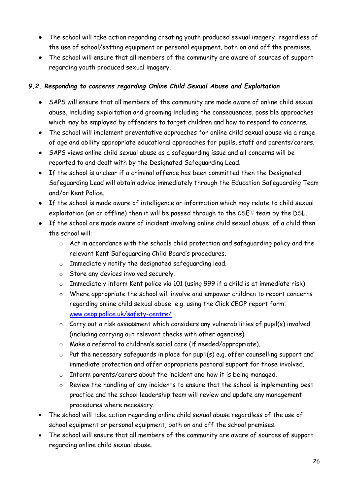- The school will take action regarding creating youth produced sexual imagery, regardless of the use of school/setting equipment or personal equipment, both on and off the premises.
- The school will ensure that all members of the community are aware of sources of support regarding youth produced sexual imagery.

#### *9.2. Responding to concerns regarding Online Child Sexual Abuse and Exploitation*

- SAPS will ensure that all members of the community are made aware of online child sexual abuse, including exploitation and grooming including the consequences, possible approaches which may be employed by offenders to target children and how to respond to concerns.
- The school will implement preventative approaches for online child sexual abuse via a range of age and ability appropriate educational approaches for pupils, staff and parents/carers.
- SAPS views online child sexual abuse as a safeguarding issue and all concerns will be reported to and dealt with by the Designated Safeguarding Lead.
- If the school is unclear if a criminal offence has been committed then the Designated Safeguarding Lead will obtain advice immediately through the Education Safeguarding Team and/or Kent Police.
- If the school is made aware of intelligence or information which may relate to child sexual exploitation (on or offline) then it will be passed through to the CSET team by the DSL.
- If the school are made aware of incident involving online child sexual abuse of a child then the school will:
	- o Act in accordance with the schools child protection and safeguarding policy and the relevant Kent Safeguarding Child Board's procedures.
	- o Immediately notify the designated safeguarding lead.
	- o Store any devices involved securely.
	- o Immediately inform Kent police via 101 (using 999 if a child is at immediate risk)
	- o Where appropriate the school will involve and empower children to report concerns regarding online child sexual abuse e.g. using the Click CEOP report form: [www.ceop.police.uk/safety-centre/](http://www.ceop.police.uk/safety-centre/)
	- o Carry out a risk assessment which considers any vulnerabilities of pupil(s) involved (including carrying out relevant checks with other agencies).
	- o Make a referral to children's social care (if needed/appropriate).
	- o Put the necessary safeguards in place for pupil(s) e.g. offer counselling support and immediate protection and offer appropriate pastoral support for those involved.
	- o Inform parents/carers about the incident and how it is being managed.
	- o Review the handling of any incidents to ensure that the school is implementing best practice and the school leadership team will review and update any management procedures where necessary.
- The school will take action regarding online child sexual abuse regardless of the use of school equipment or personal equipment, both on and off the school premises.
- The school will ensure that all members of the community are aware of sources of support regarding online child sexual abuse.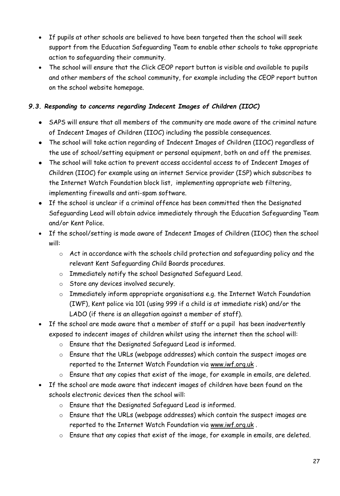- If pupils at other schools are believed to have been targeted then the school will seek support from the Education Safeguarding Team to enable other schools to take appropriate action to safeguarding their community.
- The school will ensure that the Click CEOP report button is visible and available to pupils and other members of the school community, for example including the CEOP report button on the school website homepage.

## *9.3. Responding to concerns regarding Indecent Images of Children (IIOC)*

- SAPS will ensure that all members of the community are made aware of the criminal nature of Indecent Images of Children (IIOC) including the possible consequences.
- The school will take action regarding of Indecent Images of Children (IIOC) regardless of the use of school/setting equipment or personal equipment, both on and off the premises.
- The school will take action to prevent access accidental access to of Indecent Images of Children (IIOC) for example using an internet Service provider (ISP) which subscribes to the Internet Watch Foundation block list, implementing appropriate web filtering, implementing firewalls and anti-spam software.
- If the school is unclear if a criminal offence has been committed then the Designated Safeguarding Lead will obtain advice immediately through the Education Safeguarding Team and/or Kent Police.
- If the school/setting is made aware of Indecent Images of Children (IIOC) then the school will:
	- o Act in accordance with the schools child protection and safeguarding policy and the relevant Kent Safeguarding Child Boards procedures.
	- o Immediately notify the school Designated Safeguard Lead.
	- o Store any devices involved securely.
	- o Immediately inform appropriate organisations e.g. the Internet Watch Foundation (IWF), Kent police via 101 (using 999 if a child is at immediate risk) and/or the LADO (if there is an allegation against a member of staff).
- If the school are made aware that a member of staff or a pupil has been inadvertently exposed to indecent images of children whilst using the internet then the school will:
	- o Ensure that the Designated Safeguard Lead is informed.
	- o Ensure that the URLs (webpage addresses) which contain the suspect images are reported to the Internet Watch Foundation via [www.iwf.org.uk](https://www.iwf.org.uk/).
	- o Ensure that any copies that exist of the image, for example in emails, are deleted.
- If the school are made aware that indecent images of children have been found on the schools electronic devices then the school will:
	- o Ensure that the Designated Safeguard Lead is informed.
	- o Ensure that the URLs (webpage addresses) which contain the suspect images are reported to the Internet Watch Foundation via [www.iwf.org.uk](https://www.iwf.org.uk/) .
	- o Ensure that any copies that exist of the image, for example in emails, are deleted.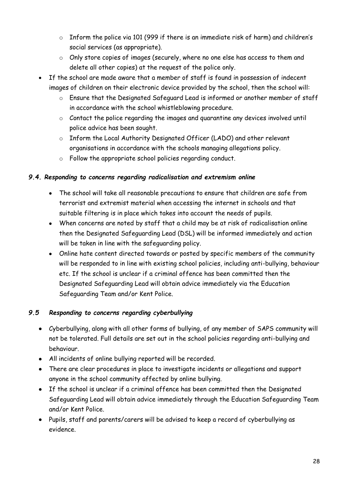- o Inform the police via 101 (999 if there is an immediate risk of harm) and children's social services (as appropriate).
- o Only store copies of images (securely, where no one else has access to them and delete all other copies) at the request of the police only.
- If the school are made aware that a member of staff is found in possession of indecent images of children on their electronic device provided by the school, then the school will:
	- o Ensure that the Designated Safeguard Lead is informed or another member of staff in accordance with the school whistleblowing procedure.
	- o Contact the police regarding the images and quarantine any devices involved until police advice has been sought.
	- o Inform the Local Authority Designated Officer (LADO) and other relevant organisations in accordance with the schools managing allegations policy.
	- o Follow the appropriate school policies regarding conduct.

#### *9.4. Responding to concerns regarding radicalisation and extremism online*

- The school will take all reasonable precautions to ensure that children are safe from terrorist and extremist material when accessing the internet in schools and that suitable filtering is in place which takes into account the needs of pupils.
- When concerns are noted by staff that a child may be at risk of radicalisation online then the Designated Safeguarding Lead (DSL) will be informed immediately and action will be taken in line with the safeguarding policy.
- Online hate content directed towards or posted by specific members of the community will be responded to in line with existing school policies, including anti-bullying, behaviour etc. If the school is unclear if a criminal offence has been committed then the Designated Safeguarding Lead will obtain advice immediately via the Education Safeguarding Team and/or Kent Police.

## *9.5 Responding to concerns regarding cyberbullying*

- Cyberbullying, along with all other forms of bullying, of any member of SAPS community will not be tolerated. Full details are set out in the school policies regarding anti-bullying and behaviour.
- All incidents of online bullying reported will be recorded.
- There are clear procedures in place to investigate incidents or allegations and support anyone in the school community affected by online bullying.
- If the school is unclear if a criminal offence has been committed then the Designated Safeguarding Lead will obtain advice immediately through the Education Safeguarding Team and/or Kent Police.
- Pupils, staff and parents/carers will be advised to keep a record of cyberbullying as evidence.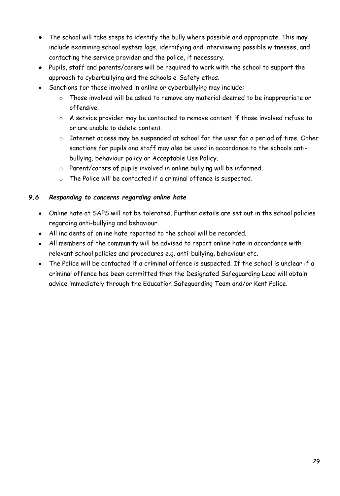- The school will take steps to identify the bully where possible and appropriate. This may include examining school system logs, identifying and interviewing possible witnesses, and contacting the service provider and the police, if necessary.
- Pupils, staff and parents/carers will be required to work with the school to support the approach to cyberbullying and the schools e-Safety ethos.
- Sanctions for those involved in online or cyberbullying may include:
	- o Those involved will be asked to remove any material deemed to be inappropriate or offensive.
	- o A service provider may be contacted to remove content if those involved refuse to or are unable to delete content.
	- o Internet access may be suspended at school for the user for a period of time. Other sanctions for pupils and staff may also be used in accordance to the schools antibullying, behaviour policy or Acceptable Use Policy.
	- o Parent/carers of pupils involved in online bullying will be informed.
	- o The Police will be contacted if a criminal offence is suspected.

#### *9.6 Responding to concerns regarding online hate*

- Online hate at SAPS will not be tolerated. Further details are set out in the school policies regarding anti-bullying and behaviour.
- All incidents of online hate reported to the school will be recorded.
- All members of the community will be advised to report online hate in accordance with relevant school policies and procedures e.g. anti-bullying, behaviour etc.
- The Police will be contacted if a criminal offence is suspected. If the school is unclear if a criminal offence has been committed then the Designated Safeguarding Lead will obtain advice immediately through the Education Safeguarding Team and/or Kent Police.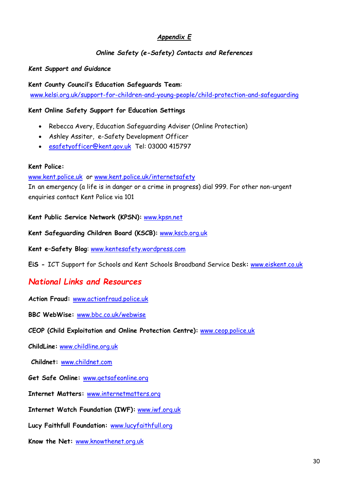#### *Appendix E*

## *Online Safety (e-Safety) Contacts and References*

#### *Kent Support and Guidance*

**Kent County Council's Education Safeguards Team**: [www.kelsi.org.uk/support-for-children-and-young-people/child-protection-and-safeguarding](http://www.kelsi.org.uk/support-for-children-and-young-people/child-protection-and-safeguarding)

#### **Kent Online Safety Support for Education Settings**

- Rebecca Avery, Education Safeguarding Adviser (Online Protection)
- Ashley Assiter, e-Safety Development Officer
- [esafetyofficer@kent.gov.uk](mailto:esafetyofficer@kent.gov.uk) Tel: 03000 415797

#### **Kent Police:**

#### [www.kent.police.uk](http://www.kent.police.uk/) or [www.kent.police.uk/internetsafety](http://www.kent.police.uk/internetsafety)

In an emergency (a life is in danger or a crime in progress) dial 999. For other non-urgent enquiries contact Kent Police via 101

**Kent Public Service Network (KPSN):** [www.kpsn.net](http://www.kpsn.net/)

**Kent Safeguarding Children Board (KSCB):** [www.kscb.org.uk](http://www.kscb.org.uk/)

**Kent e–Safety Blog**: [www.kentesafety.wordpress.com](http://www.kentesafety.wordpress.com/)

**EiS -** ICT Support for Schools and Kent Schools Broadband Service Desk**:** [www.eiskent.co.uk](http://www.eiskent.co.uk/)

## *National Links and Resources*

**Action Fraud:** [www.actionfraud.police.uk](http://www.actionfraud.police.uk/)

**BBC WebWise:** [www.bbc.co.uk/webwise](http://www.bbc.co.uk/webwise)

**CEOP (Child Exploitation and Online Protection Centre):** [www.ceop.police.uk](http://www.ceop.police.uk/)

**ChildLine:** [www.childline.org.uk](http://www.childline.org.uk/)

**Childnet:** [www.childnet.com](http://www.childnet.com/)

**Get Safe Online:** [www.getsafeonline.org](http://www.getsafeonline.org/)

**Internet Matters:** [www.internetmatters.org](http://www.internetmatters.org/)

**Internet Watch Foundation (IWF):** [www.iwf.org.uk](http://www.iwf.org.uk/)

**Lucy Faithfull Foundation:** [www.lucyfaithfull.org](http://www.lucyfaithfull.org/)

**Know the Net:** [www.knowthenet.org.uk](http://www.knowthenet.org.uk/)